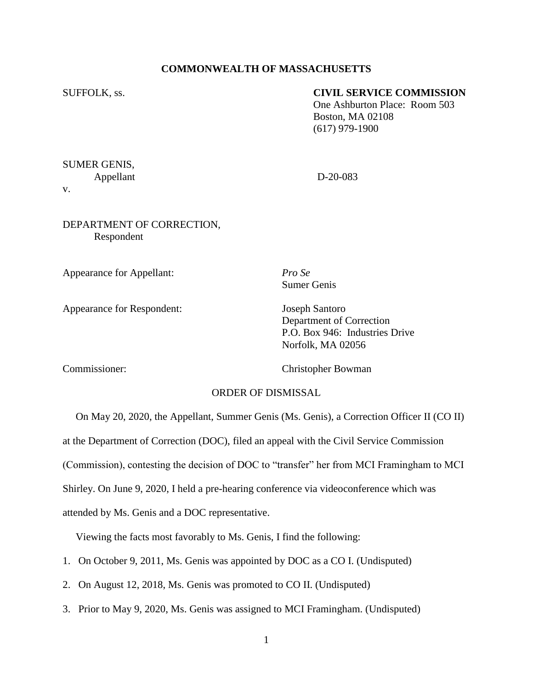## **COMMONWEALTH OF MASSACHUSETTS**

### SUFFOLK, ss. **CIVIL SERVICE COMMISSION**

One Ashburton Place: Room 503 Boston, MA 02108 (617) 979-1900

SUMER GENIS, Appellant D-20-083 v.

## DEPARTMENT OF CORRECTION, Respondent

Appearance for Appellant: *Pro Se*

Sumer Genis

Appearance for Respondent: Joseph Santoro

Department of Correction P.O. Box 946: Industries Drive Norfolk, MA 02056

Commissioner: Christopher Bowman

## ORDER OF DISMISSAL

On May 20, 2020, the Appellant, Summer Genis (Ms. Genis), a Correction Officer II (CO II)

at the Department of Correction (DOC), filed an appeal with the Civil Service Commission

(Commission), contesting the decision of DOC to "transfer" her from MCI Framingham to MCI

Shirley. On June 9, 2020, I held a pre-hearing conference via videoconference which was

attended by Ms. Genis and a DOC representative.

Viewing the facts most favorably to Ms. Genis, I find the following:

- 1. On October 9, 2011, Ms. Genis was appointed by DOC as a CO I. (Undisputed)
- 2. On August 12, 2018, Ms. Genis was promoted to CO II. (Undisputed)
- 3. Prior to May 9, 2020, Ms. Genis was assigned to MCI Framingham. (Undisputed)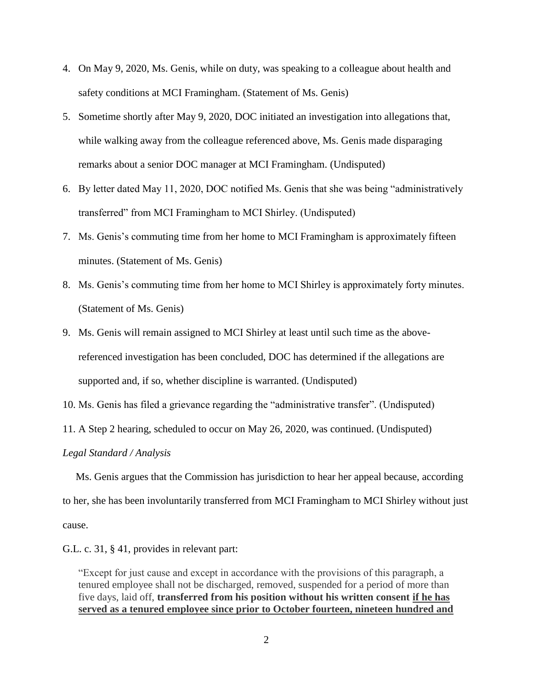- 4. On May 9, 2020, Ms. Genis, while on duty, was speaking to a colleague about health and safety conditions at MCI Framingham. (Statement of Ms. Genis)
- 5. Sometime shortly after May 9, 2020, DOC initiated an investigation into allegations that, while walking away from the colleague referenced above, Ms. Genis made disparaging remarks about a senior DOC manager at MCI Framingham. (Undisputed)
- 6. By letter dated May 11, 2020, DOC notified Ms. Genis that she was being "administratively transferred" from MCI Framingham to MCI Shirley. (Undisputed)
- 7. Ms. Genis's commuting time from her home to MCI Framingham is approximately fifteen minutes. (Statement of Ms. Genis)
- 8. Ms. Genis's commuting time from her home to MCI Shirley is approximately forty minutes. (Statement of Ms. Genis)
- 9. Ms. Genis will remain assigned to MCI Shirley at least until such time as the abovereferenced investigation has been concluded, DOC has determined if the allegations are supported and, if so, whether discipline is warranted. (Undisputed)
- 10. Ms. Genis has filed a grievance regarding the "administrative transfer". (Undisputed)
- 11. A Step 2 hearing, scheduled to occur on May 26, 2020, was continued. (Undisputed)

#### *Legal Standard / Analysis*

 Ms. Genis argues that the Commission has jurisdiction to hear her appeal because, according to her, she has been involuntarily transferred from MCI Framingham to MCI Shirley without just cause.

G.L. c. 31, § 41, provides in relevant part:

"Except for just cause and except in accordance with the provisions of this paragraph, a tenured employee shall not be discharged, removed, suspended for a period of more than five days, laid off, **transferred from his position without his written consent if he has served as a tenured employee since prior to October fourteen, nineteen hundred and**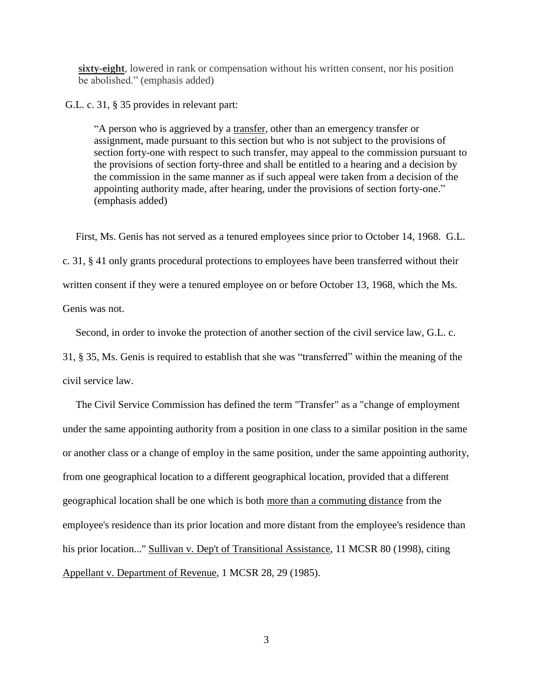**sixty-eight**, lowered in rank or compensation without his written consent, nor his position be abolished." (emphasis added)

G.L. c. 31, § 35 provides in relevant part:

"A person who is aggrieved by a transfer, other than an emergency transfer or assignment, made pursuant to this section but who is not subject to the provisions of section forty-one with respect to such transfer, may appeal to the commission pursuant to the provisions of section forty-three and shall be entitled to a hearing and a decision by the commission in the same manner as if such appeal were taken from a decision of the appointing authority made, after hearing, under the provisions of section forty-one." (emphasis added)

 First, Ms. Genis has not served as a tenured employees since prior to October 14, 1968. G.L. c. 31, § 41 only grants procedural protections to employees have been transferred without their written consent if they were a tenured employee on or before October 13, 1968, which the Ms. Genis was not.

Second, in order to invoke the protection of another section of the civil service law, G.L. c.

31, § 35, Ms. Genis is required to establish that she was "transferred" within the meaning of the civil service law.

 The Civil Service Commission has defined the term "Transfer" as a "change of employment under the same appointing authority from a position in one class to a similar position in the same or another class or a change of employ in the same position, under the same appointing authority, from one geographical location to a different geographical location, provided that a different geographical location shall be one which is both more than a commuting distance from the employee's residence than its prior location and more distant from the employee's residence than his prior location..." Sullivan v. Dep't of Transitional Assistance, 11 MCSR 80 (1998), citing Appellant v. Department of Revenue, 1 MCSR 28, 29 (1985).

3